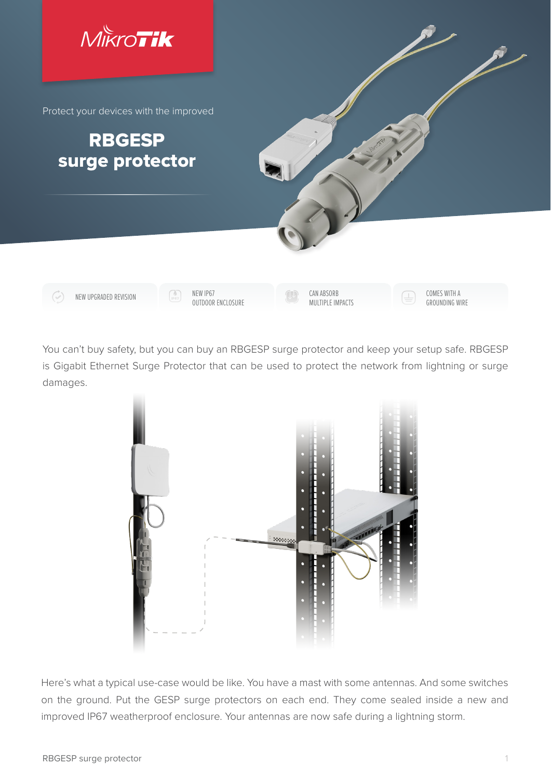

You can't buy safety, but you can buy an RBGESP surge protector and keep your setup safe. RBGESP is Gigabit Ethernet Surge Protector that can be used to protect the network from lightning or surge damages.



Here's what a typical use-case would be like. You have a mast with some antennas. And some switches on the ground. Put the GESP surge protectors on each end. They come sealed inside a new and improved IP67 weatherproof enclosure. Your antennas are now safe during a lightning storm.